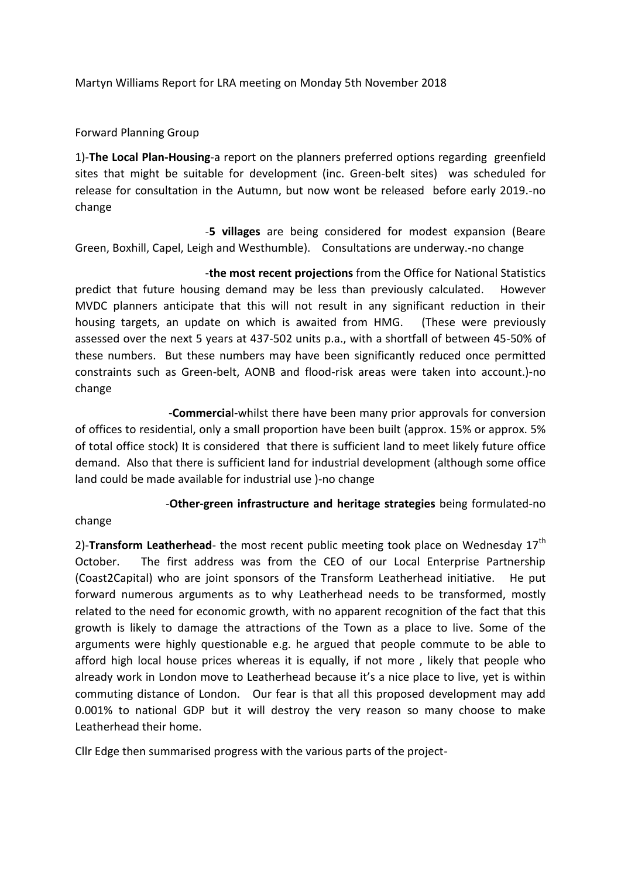Martyn Williams Report for LRA meeting on Monday 5th November 2018

Forward Planning Group

1)-**The Local Plan-Housing**-a report on the planners preferred options regarding greenfield sites that might be suitable for development (inc. Green-belt sites) was scheduled for release for consultation in the Autumn, but now wont be released before early 2019.-no change

 -**5 villages** are being considered for modest expansion (Beare Green, Boxhill, Capel, Leigh and Westhumble). Consultations are underway.-no change

 -**the most recent projections** from the Office for National Statistics predict that future housing demand may be less than previously calculated. However MVDC planners anticipate that this will not result in any significant reduction in their housing targets, an update on which is awaited from HMG. (These were previously assessed over the next 5 years at 437-502 units p.a., with a shortfall of between 45-50% of these numbers. But these numbers may have been significantly reduced once permitted constraints such as Green-belt, AONB and flood-risk areas were taken into account.)-no change

 -**Commercia**l-whilst there have been many prior approvals for conversion of offices to residential, only a small proportion have been built (approx. 15% or approx. 5% of total office stock) It is considered that there is sufficient land to meet likely future office demand. Also that there is sufficient land for industrial development (although some office land could be made available for industrial use )-no change

-**Other-green infrastructure and heritage strategies** being formulated-no

## change

2)-**Transform Leatherhead**- the most recent public meeting took place on Wednesday 17<sup>th</sup> October. The first address was from the CEO of our Local Enterprise Partnership (Coast2Capital) who are joint sponsors of the Transform Leatherhead initiative. He put forward numerous arguments as to why Leatherhead needs to be transformed, mostly related to the need for economic growth, with no apparent recognition of the fact that this growth is likely to damage the attractions of the Town as a place to live. Some of the arguments were highly questionable e.g. he argued that people commute to be able to afford high local house prices whereas it is equally, if not more , likely that people who already work in London move to Leatherhead because it's a nice place to live, yet is within commuting distance of London. Our fear is that all this proposed development may add 0.001% to national GDP but it will destroy the very reason so many choose to make Leatherhead their home.

Cllr Edge then summarised progress with the various parts of the project-